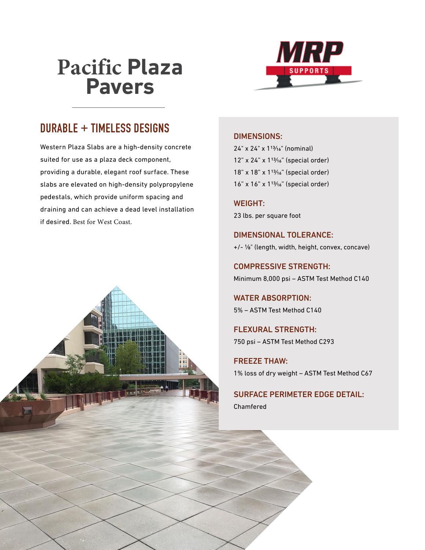## **Pacific Plaza Pavers**



## **DURABLE + TIMELESS DESIGNS**

Western Plaza Slabs are a high-density concrete suited for use as a plaza deck component, providing a durable, elegant roof surface. These slabs are elevated on high-density polypropylene pedestals, which provide uniform spacing and draining and can achieve a dead level installation if desired. Best for West Coast.



## DIMENSIONS:

24" x 24" x 113/16" (nominal) 12" x 24" x 113/16" (special order) 18" x 18" x 113/16" (special order) 16" x 16" x 113/16" (special order)

WEIGHT: 23 lbs. per square foot

DIMENSIONAL TOLERANCE: +/- 1/8" (length, width, height, convex, concave)

COMPRESSIVE STRENGTH: Minimum 8,000 psi – ASTM Test Method C140

WATER ABSORPTION: 5% – ASTM Test Method C140

FLEXURAL STRENGTH: 750 psi – ASTM Test Method C293

FREEZE THAW: 1% loss of dry weight – ASTM Test Method C67

SURFACE PERIMETER EDGE DETAIL: Chamfered